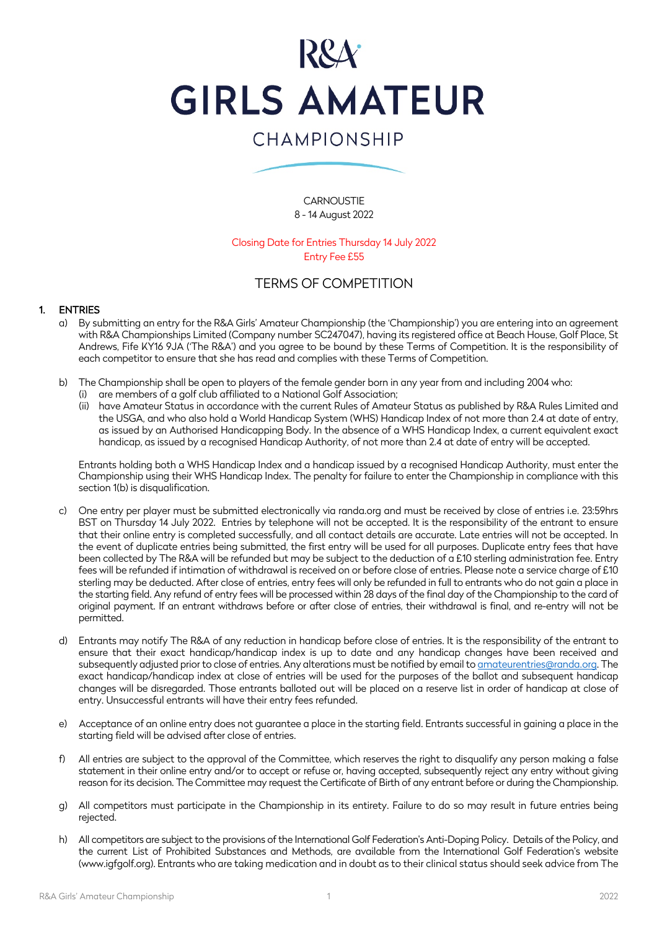

# CHAMPIONSHIP

**CARNOUSTIE** 8 - 14 August 2022

Closing Date for Entries Thursday 14 July 2022 Entry Fee £55

# TERMS OF COMPETITION

#### 1. ENTRIES

- a) By submitting an entry for the R&A Girls' Amateur Championship (the 'Championship') you are entering into an agreement with R&A Championships Limited (Company number SC247047), having its registered office at Beach House, Golf Place, St Andrews, Fife KY16 9JA ('The R&A') and you agree to be bound by these Terms of Competition. It is the responsibility of each competitor to ensure that she has read and complies with these Terms of Competition.
- b) The Championship shall be open to players of the female gender born in any year from and including 2004 who:
	- (i) are members of a golf club affiliated to a National Golf Association;
	- (ii) have Amateur Status in accordance with the current Rules of Amateur Status as published by R&A Rules Limited and the USGA, and who also hold a World Handicap System (WHS) Handicap Index of not more than 2.4 at date of entry, as issued by an Authorised Handicapping Body. In the absence of a WHS Handicap Index, a current equivalent exact handicap, as issued by a recognised Handicap Authority, of not more than 2.4 at date of entry will be accepted.

Entrants holding both a WHS Handicap Index and a handicap issued by a recognised Handicap Authority, must enter the Championship using their WHS Handicap Index. The penalty for failure to enter the Championship in compliance with this section 1(b) is disqualification.

- c) One entry per player must be submitted electronically via randa.org and must be received by close of entries i.e. 23:59hrs BST on Thursday 14 July 2022. Entries by telephone will not be accepted. It is the responsibility of the entrant to ensure that their online entry is completed successfully, and all contact details are accurate. Late entries will not be accepted. In the event of duplicate entries being submitted, the first entry will be used for all purposes. Duplicate entry fees that have been collected by The R&A will be refunded but may be subject to the deduction of a £10 sterling administration fee. Entry fees will be refunded if intimation of withdrawal is received on or before close of entries. Please note a service charge of £10 sterling may be deducted. After close of entries, entry fees will only be refunded in full to entrants who do not gain a place in the starting field. Any refund of entry fees will be processed within 28 days of the final day of the Championship to the card of original payment. If an entrant withdraws before or after close of entries, their withdrawal is final, and re-entry will not be permitted.
- Entrants may notify The R&A of any reduction in handicap before close of entries. It is the responsibility of the entrant to ensure that their exact handicap/handicap index is up to date and any handicap changes have been received and subsequently adjusted prior to close of entries. Any alterations must be notified by email to amateurentries@randa.org. The exact handicap/handicap index at close of entries will be used for the purposes of the ballot and subsequent handicap changes will be disregarded. Those entrants balloted out will be placed on a reserve list in order of handicap at close of entry. Unsuccessful entrants will have their entry fees refunded.
- e) Acceptance of an online entry does not guarantee a place in the starting field. Entrants successful in gaining a place in the starting field will be advised after close of entries.
- f) All entries are subject to the approval of the Committee, which reserves the right to disqualify any person making a false statement in their online entry and/or to accept or refuse or, having accepted, subsequently reject any entry without giving reason for its decision. The Committee may request the Certificate of Birth of any entrant before or during the Championship.
- g) All competitors must participate in the Championship in its entirety. Failure to do so may result in future entries being rejected.
- h) All competitors are subject to the provisions of the International Golf Federation's Anti-Doping Policy. Details of the Policy, and the current List of Prohibited Substances and Methods, are available from the International Golf Federation's website (www.igfgolf.org). Entrants who are taking medication and in doubt as to their clinical status should seek advice from The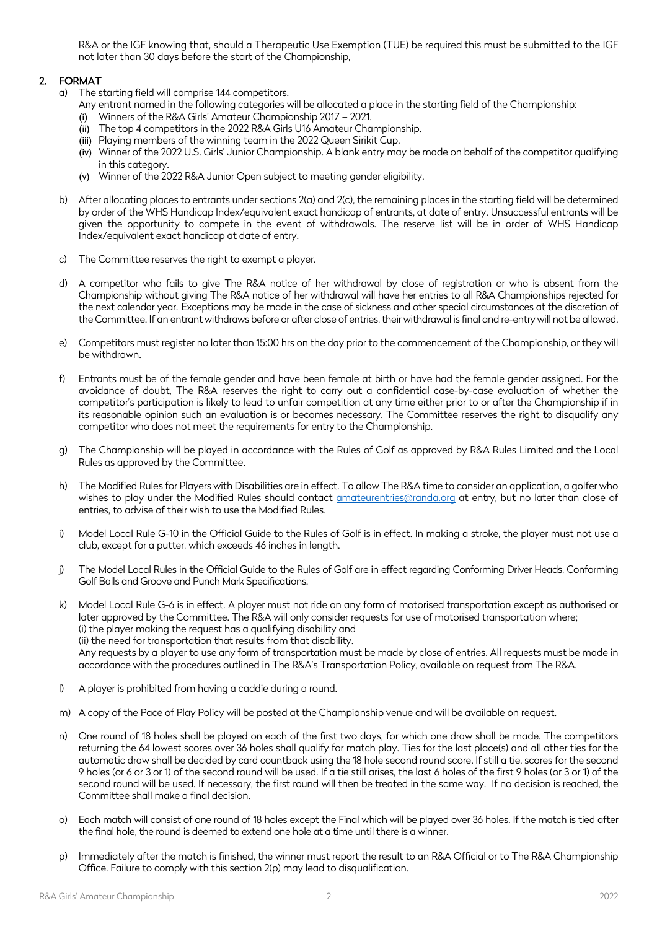R&A or the IGF knowing that, should a Therapeutic Use Exemption (TUE) be required this must be submitted to the IGF not later than 30 days before the start of the Championship,

## 2. FORMAT

- a) The starting field will comprise 144 competitors.
	- Any entrant named in the following categories will be allocated a place in the starting field of the Championship:
	- (i) Winners of the R&A Girls' Amateur Championship 2017 2021.
	- (ii) The top 4 competitors in the 2022 R&A Girls U16 Amateur Championship.
	- (iii) Playing members of the winning team in the 2022 Queen Sirikit Cup.
	- (iv) Winner of the 2022 U.S. Girls' Junior Championship. A blank entry may be made on behalf of the competitor qualifying in this category.
	- (v) Winner of the 2022 R&A Junior Open subject to meeting gender eligibility.
- b) After allocating places to entrants under sections 2(a) and 2(c), the remaining places in the starting field will be determined by order of the WHS Handicap Index/equivalent exact handicap of entrants, at date of entry. Unsuccessful entrants will be given the opportunity to compete in the event of withdrawals. The reserve list will be in order of WHS Handicap Index/equivalent exact handicap at date of entry.
- c) The Committee reserves the right to exempt a player.
- d) A competitor who fails to give The R&A notice of her withdrawal by close of registration or who is absent from the Championship without giving The R&A notice of her withdrawal will have her entries to all R&A Championships rejected for the next calendar year. Exceptions may be made in the case of sickness and other special circumstances at the discretion of the Committee. If an entrant withdraws before or after close of entries, their withdrawal is final and re-entry will not be allowed.
- Competitors must register no later than 15:00 hrs on the day prior to the commencement of the Championship, or they will be withdrawn.
- f) Entrants must be of the female gender and have been female at birth or have had the female gender assigned. For the avoidance of doubt, The R&A reserves the right to carry out a confidential case-by-case evaluation of whether the competitor's participation is likely to lead to unfair competition at any time either prior to or after the Championship if in its reasonable opinion such an evaluation is or becomes necessary. The Committee reserves the right to disqualify any competitor who does not meet the requirements for entry to the Championship.
- g) The Championship will be played in accordance with the Rules of Golf as approved by R&A Rules Limited and the Local Rules as approved by the Committee.
- h) The Modified Rules for Players with Disabilities are in effect. To allow The R&A time to consider an application, a golfer who wishes to play under the Modified Rules should contact amateurentries@randa.org at entry, but no later than close of entries, to advise of their wish to use the Modified Rules.
- i) Model Local Rule G-10 in the Official Guide to the Rules of Golf is in effect. In making a stroke, the player must not use a club, except for a putter, which exceeds 46 inches in length.
- j) The Model Local Rules in the Official Guide to the Rules of Golf are in effect regarding Conforming Driver Heads, Conforming Golf Balls and Groove and Punch Mark Specifications.
- k) Model Local Rule G-6 is in effect. A player must not ride on any form of motorised transportation except as authorised or later approved by the Committee. The R&A will only consider requests for use of motorised transportation where; (i) the player making the request has a qualifying disability and (ii) the need for transportation that results from that disability. Any requests by a player to use any form of transportation must be made by close of entries. All requests must be made in accordance with the procedures outlined in The R&A's Transportation Policy, available on request from The R&A.
- l) A player is prohibited from having a caddie during a round.
- m) A copy of the Pace of Play Policy will be posted at the Championship venue and will be available on request.
- n) One round of 18 holes shall be played on each of the first two days, for which one draw shall be made. The competitors returning the 64 lowest scores over 36 holes shall qualify for match play. Ties for the last place(s) and all other ties for the automatic draw shall be decided by card countback using the 18 hole second round score. If still a tie, scores for the second 9 holes (or 6 or 3 or 1) of the second round will be used. If a tie still arises, the last 6 holes of the first 9 holes (or 3 or 1) of the second round will be used. If necessary, the first round will then be treated in the same way. If no decision is reached, the Committee shall make a final decision.
- o) Each match will consist of one round of 18 holes except the Final which will be played over 36 holes. If the match is tied after the final hole, the round is deemed to extend one hole at a time until there is a winner.
- p) Immediately after the match is finished, the winner must report the result to an R&A Official or to The R&A Championship Office. Failure to comply with this section 2(p) may lead to disqualification.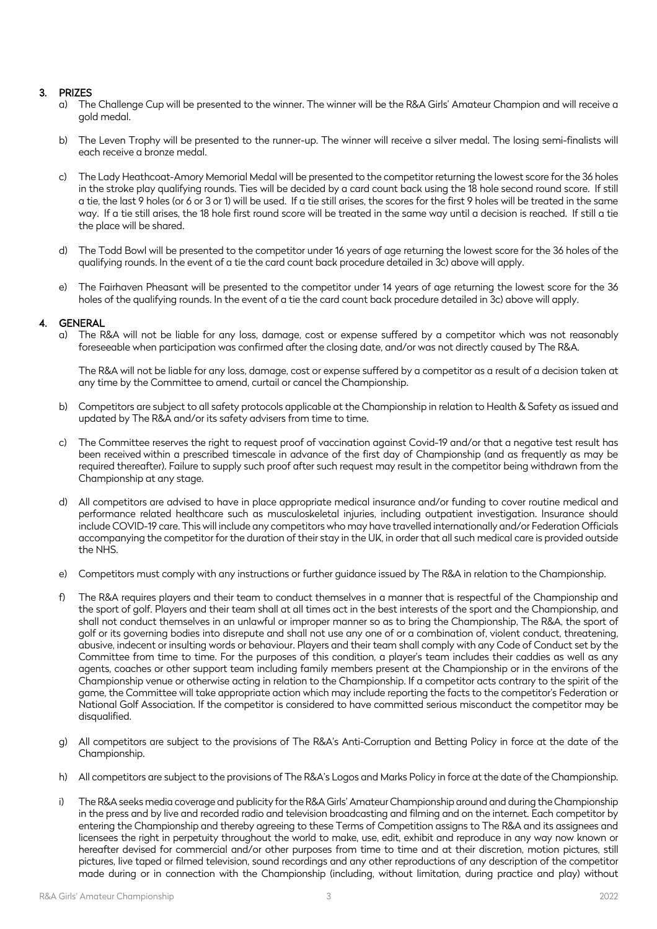### 3. PRIZES

- a) The Challenge Cup will be presented to the winner. The winner will be the R&A Girls' Amateur Champion and will receive a gold medal.
- b) The Leven Trophy will be presented to the runner-up. The winner will receive a silver medal. The losing semi-finalists will each receive a bronze medal.
- c) The Lady Heathcoat-Amory Memorial Medal will be presented to the competitor returning the lowest score for the 36 holes in the stroke play qualifying rounds. Ties will be decided by a card count back using the 18 hole second round score. If still a tie, the last 9 holes (or 6 or 3 or 1) will be used. If a tie still arises, the scores for the first 9 holes will be treated in the same way. If a tie still arises, the 18 hole first round score will be treated in the same way until a decision is reached. If still a tie the place will be shared.
- d) The Todd Bowl will be presented to the competitor under 16 years of age returning the lowest score for the 36 holes of the qualifying rounds. In the event of a tie the card count back procedure detailed in 3c) above will apply.
- e) The Fairhaven Pheasant will be presented to the competitor under 14 years of age returning the lowest score for the 36 holes of the qualifying rounds. In the event of a tie the card count back procedure detailed in 3c) above will apply.

#### 4. GENERAL

a) The R&A will not be liable for any loss, damage, cost or expense suffered by a competitor which was not reasonably foreseeable when participation was confirmed after the closing date, and/or was not directly caused by The R&A.

The R&A will not be liable for any loss, damage, cost or expense suffered by a competitor as a result of a decision taken at any time by the Committee to amend, curtail or cancel the Championship.

- b) Competitors are subject to all safety protocols applicable at the Championship in relation to Health & Safety as issued and updated by The R&A and/or its safety advisers from time to time.
- The Committee reserves the right to request proof of vaccination against Covid-19 and/or that a negative test result has been received within a prescribed timescale in advance of the first day of Championship (and as frequently as may be required thereafter). Failure to supply such proof after such request may result in the competitor being withdrawn from the Championship at any stage.
- d) All competitors are advised to have in place appropriate medical insurance and/or funding to cover routine medical and performance related healthcare such as musculoskeletal injuries, including outpatient investigation. Insurance should include COVID-19 care. This will include any competitors who may have travelled internationally and/or Federation Officials accompanying the competitor for the duration of their stay in the UK, in order that all such medical care is provided outside the NHS.
- e) Competitors must comply with any instructions or further guidance issued by The R&A in relation to the Championship.
- f) The R&A requires players and their team to conduct themselves in a manner that is respectful of the Championship and the sport of golf. Players and their team shall at all times act in the best interests of the sport and the Championship, and shall not conduct themselves in an unlawful or improper manner so as to bring the Championship, The R&A, the sport of golf or its governing bodies into disrepute and shall not use any one of or a combination of, violent conduct, threatening, abusive, indecent or insulting words or behaviour. Players and their team shall comply with any Code of Conduct set by the Committee from time to time. For the purposes of this condition, a player's team includes their caddies as well as any agents, coaches or other support team including family members present at the Championship or in the environs of the Championship venue or otherwise acting in relation to the Championship. If a competitor acts contrary to the spirit of the game, the Committee will take appropriate action which may include reporting the facts to the competitor's Federation or National Golf Association. If the competitor is considered to have committed serious misconduct the competitor may be disqualified.
- g) All competitors are subject to the provisions of The R&A's Anti-Corruption and Betting Policy in force at the date of the Championship.
- h) All competitors are subject to the provisions of The R&A's Logos and Marks Policy in force at the date of the Championship.
- i) The R&A seeks media coverage and publicity for the R&A Girls' Amateur Championship around and during the Championship in the press and by live and recorded radio and television broadcasting and filming and on the internet. Each competitor by entering the Championship and thereby agreeing to these Terms of Competition assigns to The R&A and its assignees and licensees the right in perpetuity throughout the world to make, use, edit, exhibit and reproduce in any way now known or hereafter devised for commercial and/or other purposes from time to time and at their discretion, motion pictures, still pictures, live taped or filmed television, sound recordings and any other reproductions of any description of the competitor made during or in connection with the Championship (including, without limitation, during practice and play) without